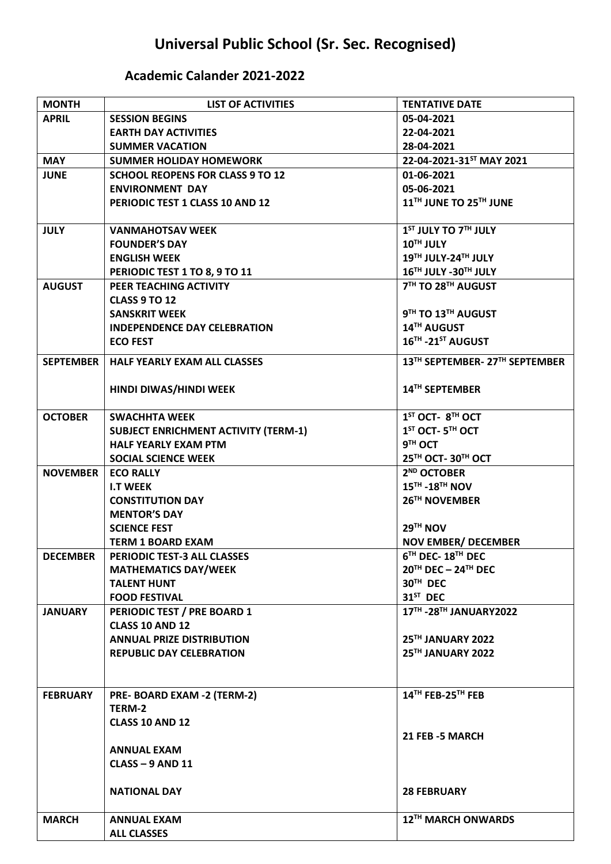## **Universal Public School (Sr. Sec. Recognised)**

## **Academic Calander 2021-2022**

| <b>MONTH</b>     | <b>LIST OF ACTIVITIES</b>                   | <b>TENTATIVE DATE</b>                   |
|------------------|---------------------------------------------|-----------------------------------------|
| <b>APRIL</b>     | <b>SESSION BEGINS</b>                       | 05-04-2021                              |
|                  | <b>EARTH DAY ACTIVITIES</b>                 | 22-04-2021                              |
|                  | <b>SUMMER VACATION</b>                      | 28-04-2021                              |
| <b>MAY</b>       | <b>SUMMER HOLIDAY HOMEWORK</b>              | 22-04-2021-31ST MAY 2021                |
| <b>JUNE</b>      | <b>SCHOOL REOPENS FOR CLASS 9 TO 12</b>     | 01-06-2021                              |
|                  | <b>ENVIRONMENT DAY</b>                      | 05-06-2021                              |
|                  | PERIODIC TEST 1 CLASS 10 AND 12             | 11TH JUNE TO 25TH JUNE                  |
|                  |                                             |                                         |
| <b>JULY</b>      | <b>VANMAHOTSAV WEEK</b>                     | 1 <sup>ST</sup> JULY TO 7TH JULY        |
|                  | <b>FOUNDER'S DAY</b>                        | 10TH JULY                               |
|                  | <b>ENGLISH WEEK</b>                         | 19TH JULY-24TH JULY                     |
|                  | PERIODIC TEST 1 TO 8, 9 TO 11               | 16TH JULY -30TH JULY                    |
| <b>AUGUST</b>    | PEER TEACHING ACTIVITY                      | 7TH TO 28TH AUGUST                      |
|                  | <b>CLASS 9 TO 12</b>                        |                                         |
|                  | <b>SANSKRIT WEEK</b>                        | 9TH TO 13TH AUGUST                      |
|                  | <b>INDEPENDENCE DAY CELEBRATION</b>         | 14TH AUGUST                             |
|                  | <b>ECO FEST</b>                             | 16TH-21ST AUGUST                        |
|                  |                                             |                                         |
| <b>SEPTEMBER</b> | <b>HALF YEARLY EXAM ALL CLASSES</b>         | 13TH SEPTEMBER-27TH SEPTEMBER           |
|                  |                                             |                                         |
|                  | HINDI DIWAS/HINDI WEEK                      | 14 <sup>TH</sup> SEPTEMBER              |
|                  |                                             |                                         |
| <b>OCTOBER</b>   | <b>SWACHHTA WEEK</b>                        | $1ST$ OCT- $8TH$ OCT                    |
|                  | <b>SUBJECT ENRICHMENT ACTIVITY (TERM-1)</b> | 1 <sup>ST</sup> OCT-5 <sup>TH</sup> OCT |
|                  | <b>HALF YEARLY EXAM PTM</b>                 | 9TH OCT                                 |
|                  | <b>SOCIAL SCIENCE WEEK</b>                  | 25 <sup>TH</sup> OCT-30TH OCT           |
| <b>NOVEMBER</b>  | <b>ECO RALLY</b>                            | 2 <sup>ND</sup> OCTOBER                 |
|                  | <b>I.T WEEK</b>                             | 15 <sup>TH</sup> -18 <sup>TH</sup> NOV  |
|                  | <b>CONSTITUTION DAY</b>                     | 26 <sup>TH</sup> NOVEMBER               |
|                  | <b>MENTOR'S DAY</b>                         |                                         |
|                  | <b>SCIENCE FEST</b>                         | $29TH$ NOV                              |
|                  | <b>TERM 1 BOARD EXAM</b>                    | <b>NOV EMBER/ DECEMBER</b>              |
| <b>DECEMBER</b>  | PERIODIC TEST-3 ALL CLASSES                 | 6TH DEC-18TH DEC                        |
|                  | <b>MATHEMATICS DAY/WEEK</b>                 | $20TH$ DEC - $24TH$ DEC                 |
|                  | <b>TALENT HUNT</b>                          | 30TH DEC                                |
|                  | <b>FOOD FESTIVAL</b>                        | 31 <sup>ST</sup> DEC                    |
| <b>JANUARY</b>   | PERIODIC TEST / PRE BOARD 1                 | 17TH - 28TH JANUARY 2022                |
|                  | <b>CLASS 10 AND 12</b>                      |                                         |
|                  | <b>ANNUAL PRIZE DISTRIBUTION</b>            | 25TH JANUARY 2022                       |
|                  | <b>REPUBLIC DAY CELEBRATION</b>             | 25TH JANUARY 2022                       |
|                  |                                             |                                         |
|                  |                                             |                                         |
| <b>FEBRUARY</b>  | PRE-BOARD EXAM -2 (TERM-2)                  | 14TH FEB-25TH FEB                       |
|                  | TERM-2                                      |                                         |
|                  | <b>CLASS 10 AND 12</b>                      |                                         |
|                  |                                             | 21 FEB -5 MARCH                         |
|                  | <b>ANNUAL EXAM</b>                          |                                         |
|                  | <b>CLASS - 9 AND 11</b>                     |                                         |
|                  |                                             |                                         |
|                  | <b>NATIONAL DAY</b>                         | <b>28 FEBRUARY</b>                      |
|                  |                                             |                                         |
| <b>MARCH</b>     | <b>ANNUAL EXAM</b>                          | 12 <sup>TH</sup> MARCH ONWARDS          |
|                  | <b>ALL CLASSES</b>                          |                                         |